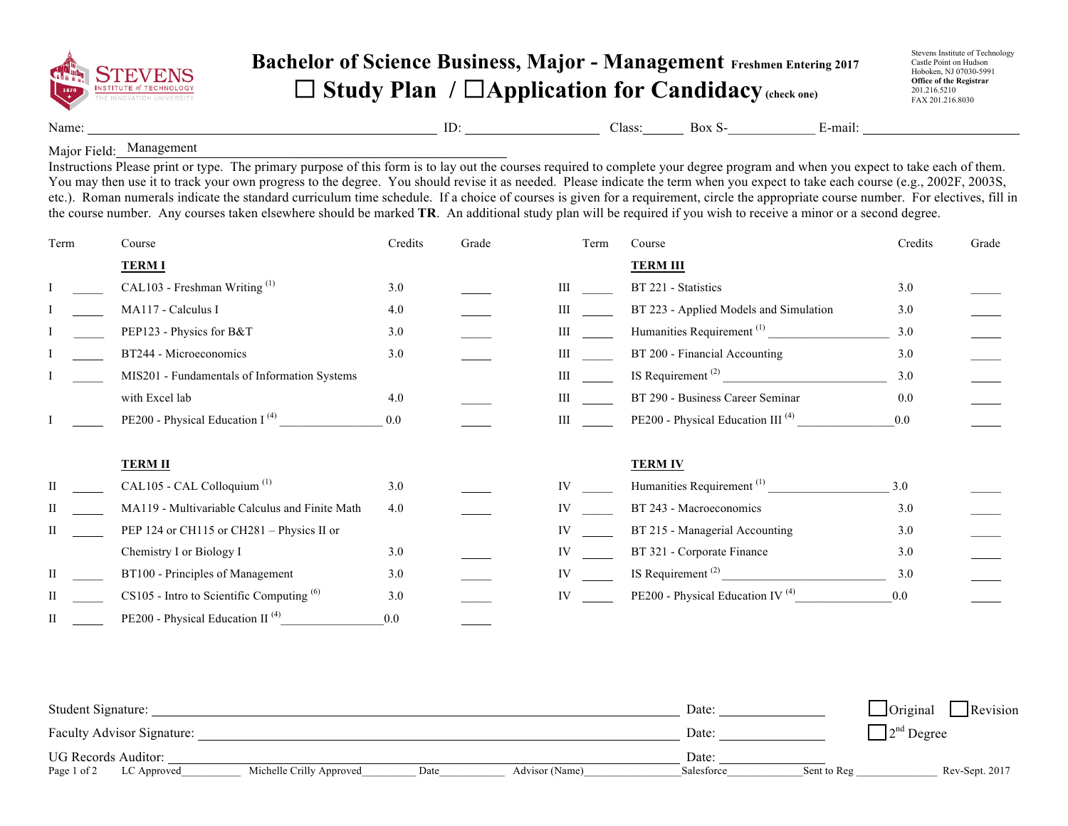

## **Bachelor of Science Business, Major - Management Freshmen Entering 2017** ☐ **Study Plan /** ☐**Application for Candidacy(check one)**

Stevens Institute of Technology Castle Point on Hudson Hoboken, NJ 07030-5991 **Office of the Registrar**  201.216.5210 FAX 201.216.8030

Name: ID: \_\_\_\_\_\_\_\_\_\_\_\_\_\_\_\_\_\_\_\_ Class:\_\_\_\_\_\_ Box S-\_\_\_\_\_\_\_\_\_\_\_\_\_ E-mail:

Major Field: Management Instructions Please print or type. The primary purpose of this form is to lay out the courses required to complete your degree program and when you expect to take each of them. You may then use it to track your own progress to the degree. You should revise it as needed. Please indicate the term when you expect to take each course (e.g., 2002F, 2003S, etc.). Roman numerals indicate the standard curriculum time schedule. If a choice of courses is given for a requirement, circle the appropriate course number. For electives, fill in the course number. Any courses taken elsewhere should be marked **TR**. An additional study plan will be required if you wish to receive a minor or a second degree.

| Term | Course                                         | Credits | Grade | Term | Course                                        | Credits | Grade |
|------|------------------------------------------------|---------|-------|------|-----------------------------------------------|---------|-------|
|      | <b>TERMI</b>                                   |         |       |      | <b>TERM III</b>                               |         |       |
|      | CAL103 - Freshman Writing <sup>(1)</sup>       | 3.0     |       | Ш    | BT 221 - Statistics                           | 3.0     |       |
|      | MA117 - Calculus I                             | 4.0     |       |      | BT 223 - Applied Models and Simulation        | 3.0     |       |
|      | PEP123 - Physics for B&T                       | 3.0     |       | Ш    | Humanities Requirement <sup>(1)</sup>         | 3.0     |       |
|      | BT244 - Microeconomics                         | 3.0     |       | Ш    | BT 200 - Financial Accounting                 | 3.0     |       |
|      | MIS201 - Fundamentals of Information Systems   |         |       | Ш    | IS Requirement <sup>(2)</sup>                 | 3.0     |       |
|      | with Excel lab                                 | 4.0     |       | Ш    | BT 290 - Business Career Seminar              | 0.0     |       |
|      | PE200 - Physical Education I <sup>(4)</sup>    | 0.0     |       | III  | PE200 - Physical Education III <sup>(4)</sup> | 0.0     |       |
|      | <b>TERM II</b>                                 |         |       |      | <b>TERM IV</b>                                |         |       |
| П    | CAL105 - CAL Colloquium <sup>(1)</sup>         | 3.0     |       | IV   | Humanities Requirement <sup>(1)</sup>         | 3.0     |       |
| П    | MA119 - Multivariable Calculus and Finite Math | 4.0     |       | IV   | BT 243 - Macroeconomics                       | 3.0     |       |
| П    | PEP 124 or CH115 or CH281 - Physics II or      |         |       | IV   | BT 215 - Managerial Accounting                | 3.0     |       |
|      | Chemistry I or Biology I                       | 3.0     |       |      | BT 321 - Corporate Finance                    | 3.0     |       |
|      | BT100 - Principles of Management               | 3.0     |       | IV   |                                               | 3.0     |       |
|      | $CS105$ - Intro to Scientific Computing $(6)$  | 3.0     |       | IV   | PE200 - Physical Education IV <sup>(4)</sup>  | 0.0     |       |
| П    | PE200 - Physical Education II <sup>(4)</sup>   | 0.0     |       |      |                                               |         |       |

| Student Signature:         |                          |      |                | Date:      |             | $\Box$ Original<br>Revision   |
|----------------------------|--------------------------|------|----------------|------------|-------------|-------------------------------|
| Faculty Advisor Signature: |                          |      |                | Date:      |             | $\Box$ 2 <sup>nd</sup> Degree |
| <b>UG Records Auditor:</b> |                          |      |                | Date:      |             |                               |
| Page 1 of 2<br>LC Approved | Michelle Crilly Approved | Date | Advisor (Name) | Salesforce | Sent to Reg | Rev-Sept. 2017                |